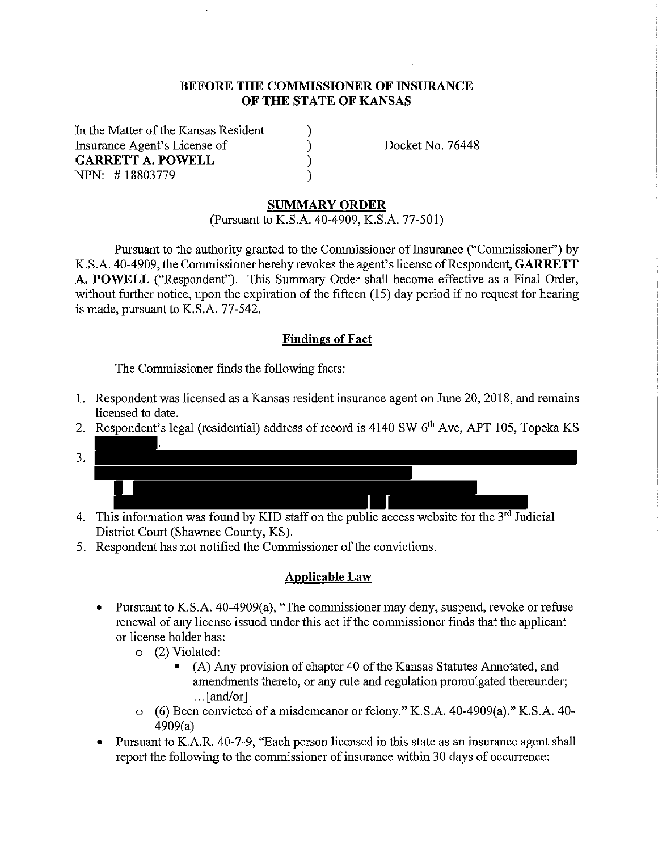#### **BEFORE THE COMMISSIONER OF INSURANCE OF THE STATE OF KANSAS**

) ) ) )

In the Matter of the Kansas Resident Insurance Agent's License of **GARRETT A. POWELL**  NPN: # 18803779

Docket No. 76448

#### **SUMMARY ORDER**

(Pursuant to K.S.A. 40-4909, K.S.A. 77-501)

Pursuant to the authority granted to the Commissioner of Insurance ("Commissioner") by K.S.A. 40-4909, the Commissioner hereby revokes the agent's license of Respondent, **GARRETT A. POWELL** ("Respondent"). This Surmnary Order shall become effective as a Final Order, without further notice, upon the expiration of the fifteen (15) day period if no request for hearing is made, pursuant to K.S.A. 77-542.

#### **Findings of Fact**

The Commissioner finds the following facts:

- 1. Respondent was licensed as a Kansas resident insurance agent on June 20, 2018, and remains licensed to date.
- 2. Respondent's legal (residential) address of record is 4140 SW 6<sup>th</sup> Ave, APT 105, Topeka KS .
- 3.
- 4. This information was found by KID staff on the public access website for the  $3<sup>rd</sup>$  Judicial District Court (Shawnee County, KS).
- 5. Respondent has not notified the Commissioner of the convictions.

#### **Applicable Law**

- Pursuant to K.S.A. 40-4909(a), "The commissioner may deny, suspend, revoke or refuse renewal of any license issued under this act if the commissioner finds that the applicant or license holder has:
	- o (2) Violated:
		- (A) Any provision of chapter 40 of the Kansas Statutes Annotated, and amendments thereto, or any rule and regulation promulgated thereunder; ... [and/or]
	- o (6) Been convicted of a misdemeanor or felony." K.S.A. 40-4909(a)." K.S.A. 40- 4909(a)
- Pursuant to K.A.R. 40-7-9, "Each person licensed in this state as an insurance agent shall report the following to the commissioner of insurance within 30 days of occurrence: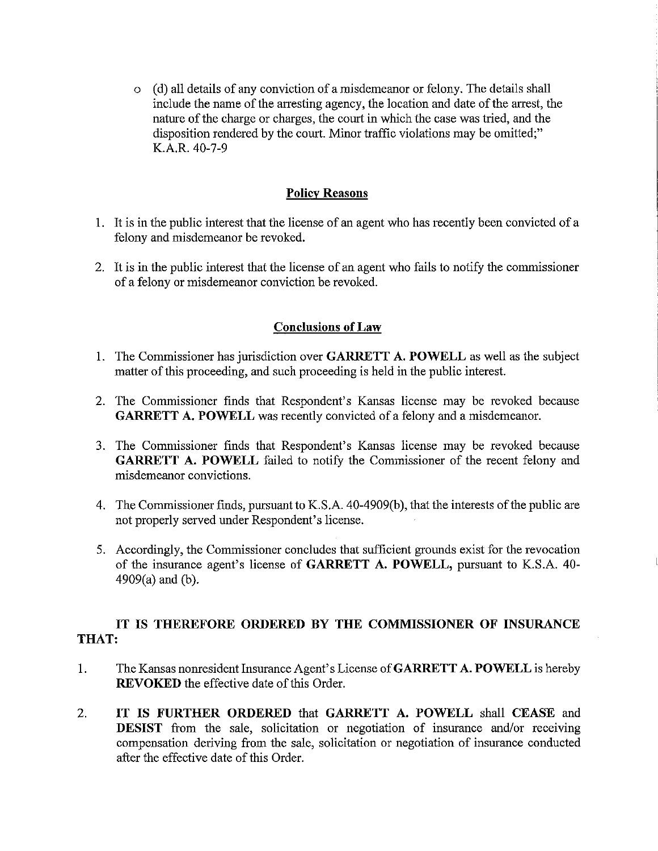o ( d) all details of any conviction of a misdemeanor or felony. The details shall include the name of the arresting agency, the location and date of the arrest, the nature of the charge or charges, the court in which the case was tried, and the disposition rendered by the court. Minor traffic violations may be omitted;" K.A.R. 40-7-9

### **Policy Reasons**

- 1. It is in the public interest that the license of an agent who has recently been convicted of a felony and misdemeanor be revoked.
- 2. It is in the public interest that the license of an agent who fails to notify the commissioner of a felony or misdemeanor conviction be revoked.

### **Conclusions of Law**

- 1. The Commissioner has jurisdiction over **GARRETT A. POWELL** as well as the subject matter of this proceeding, and such proceeding is held in the public interest.
- 2. The Commissioner finds that Respondent's Kansas license may be revoked because **GARRETT A. POWELL** was recently convicted of a felony and a misdemeanor.
- 3. The Commissioner finds that Respondent's Kansas license may be revoked because **GARRETT A. POWELL** failed to notify the Commissioner of the recent felony and misdemeanor convictions.
- 4. The Commissioner finds, pursuant to K.S.A. 40-4909(b ), that the interests of the public are not properly served under Respondent's license.
- 5. Accordingly, the Commissioner concludes that sufficient grounds exist for the revocation of the insurance agent's license of **GARRETT A. POWELL,** pursuant to K.S.A. 40- 4909(a) and (b).

## **IT IS THEREFORE ORDERED BY THE COMMISSIONER OF INSURANCE THAT:**

- 1. The Kansas nonresident Insurance Agent's License of **GARRETT A. POWELL** is hereby **REVOKED** the effective date of this Order.
- 2. **IT IS FURTHER ORDERED** that **GARRETT A. POWELL** shall **CEASE** and **DESIST** from the sale, solicitation or negotiation of insurance and/or receiving compensation deriving from the sale, solicitation or negotiation of insurance conducted after the effective date of this Order.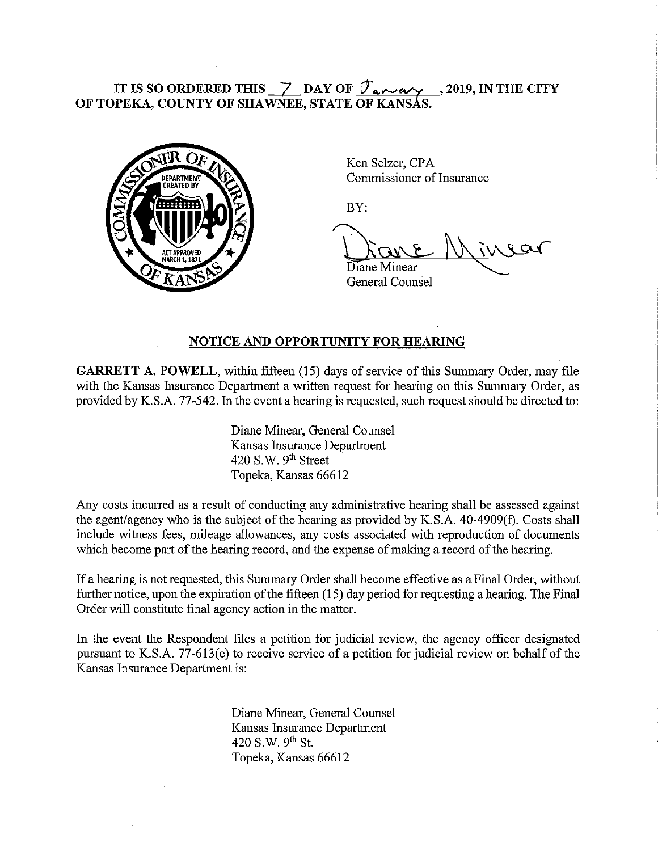# IT IS SO ORDERED THIS  $\_\_Z$  DAY OF  $\mathcal{T}_{\alpha \wedge \alpha}$   $\_\_2$ , 2019, IN THE CITY **OF TOPEKA, COUNTY OF SHAWNEE, STATE OF KANSAS.**



Ken Selzer, CPA Commissioner of Insurance

BY:

Diane Minear

General Counsel

### **NOTICE AND OPPORTUNITY FOR HEARING**

**GARRETT A. POWELL, within fifteen (15) days of service of this Summary Order, may file** with the Kansas Insurance Department a written request for hearing on this Summary Order, as provided by K.S.A. 77-542. In the event a hearing is requested, such request should be directed to:

> Diane Minear, General Counsel Kansas Insurance Department 420 S.W.  $9<sup>th</sup>$  Street Topeka, Kansas 66612

Any costs incurred as a result of conducting any administrative hearing shall be assessed against the agent/agency who is the subject of the hearing as provided by K.S.A. 40-4909(f). Costs shall include witness fees, mileage allowances, any costs associated with reproduction of documents which become part of the hearing record, and the expense of making a record of the hearing.

If a hearing is not requested, this Summary Order shall become effective as a Final Order, without further notice, upon the expiration of the fifteen (15) day period for requesting a hearing. The Final Order will constitute final agency action in the matter.

In the event the Respondent files a petition for judicial review, the agency officer designated pursuant to KS.A. 77-613(e) to receive service of a petition for judicial review on behalf of the Kansas Insurance Department is:

> Diane Minear, General Counsel Kansas Insurance Department 420 S.W. 9<sup>th</sup> St. Topeka, Kansas 66612